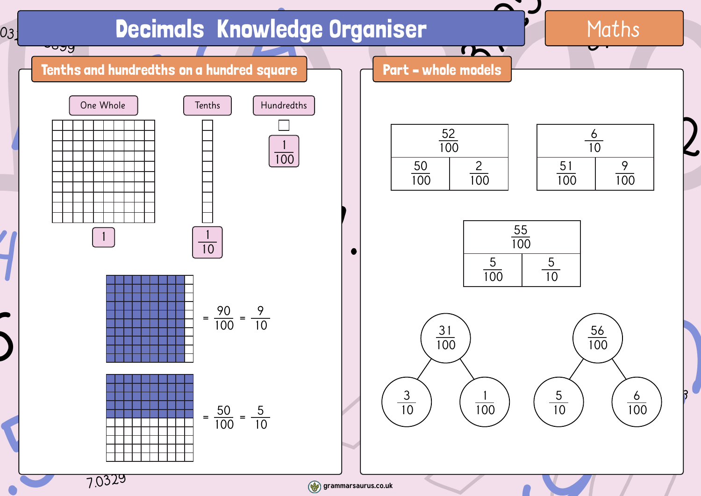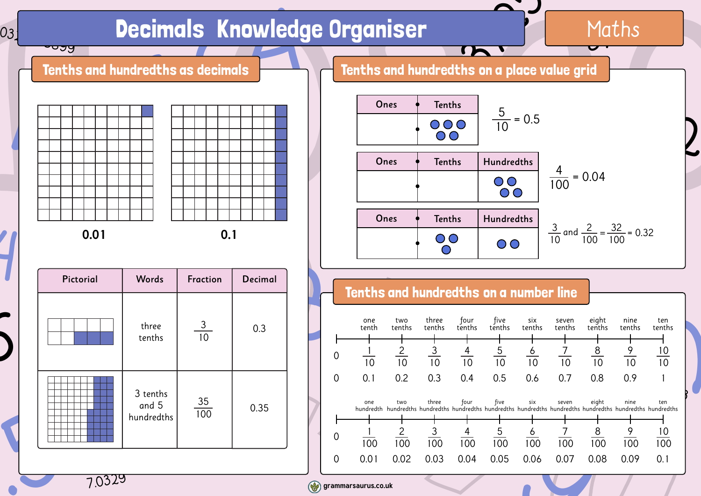## Decimals Knowledge Organiser

**Decimals Knowledge Organiser** Maths<br>
Tenths and hundredths as decimals<br> **Example 1990** 10 1000 1001 0.1<br>
Ones Tenths Hundredths  $\frac{5}{10} = 0.5$ <br>
Ones Tenths Hundredths  $\frac{4}{100} = 0.04$ <br>
Ones Tenths Hundredths  $\frac{4}{100}$  $\begin{array}{c|c} \text{[tion} & \text{Decimal} \\ \hline 0 & 0.3 \\ \hline \end{array}$ **Particular Service School Service School Service School Service School Service School Service School** 03.  $rac{1}{\sqrt{28}}$ 7.0329 55.86  $\left| \right|$  $\frac{1}{100}$ 0.01  $5$ Ones Tenths Hund 4.69  $\frac{32}{100} = 0.32$ <br>
s tenths tenths tenths<br>  $\frac{9}{10}$   $\frac{10}{10}$ <br>
0.9 1<br>
this hundredths hundredths  $\overline{2}$ 48.5 10 3 tenths 03.<br>
Tenths and<br>
Tenths and  $\begin{array}{|c|c|c|}\n\hline\n0.01 & & & 0.1 \\
\hline\n\text{Pictorial} & \text{Words} & \text{Fraction} & \text{Dec} \\
\hline\n\text{Hence} & \frac{3}{10} & \text{C} \\
\hline\n\text{I} & \text{S} & \text{S} & \text{S} \\
\hline\n\text{M} & \text{S} & \text{S} & \text{S} \\
\hline\n\text{M} & \text{M} & \text{S} & \text{S} \\
\hline\n\text{M} & \text{M} & \text{S} & \text{S} \\
\hline\n\end{array}$  $\begin{array}{|c|c|c|}\n\hline\n\text{hundredths} & & 100 \\
\hline\n\text{hundredths} & & 100\n\end{array}$ **0.01 0.1** Tenths and hundredths as decimals **Tenths and hundredths on a place value grid** Tenths and hundredths on a number line Pictorial Words three tenths 3 tenths and 5 hundredths Fraction Decimal 0.3 0.35 3 10 35 100  $\frac{5}{10}$  = 0.5  $\frac{4}{100}$  = 0.04  $\frac{3}{10}$  and  $\frac{2}{100} = \frac{32}{100} = 0.32$ 100 32 100 Ones  $\phi$  Tenths Ones  $\phi$  Tenths | Hundredths Ones  $\phi$  Tenths Hundredths 0  $\frac{1}{10}$ 0 0.1 0.2 0.3 0.4 0.5 0.6 0.7 0.8 0.9 1 10 2 10 3 10 4 10 5 10 6 10 7 10 8 10 9 10 10 10 one tenth two tenths three tenths four four five<br>tenths tenth: tenths six tenths seven<br>tenths eight tenths nine tenths ten tenths 0  $\frac{1}{10}$ 0 0.01 0.02 0.03 0.04 0.05 0.06 0.07 0.08 0.09 0.1 100 2 100 3 100 4 100 5 100 6 100 7 100 8 100 9 100 10 100 one hundredth two hundredths three hundredths four hundredths five hundredths six hundredths seven hundredths eight hundredths nine hundredths ten hundredths

Maths